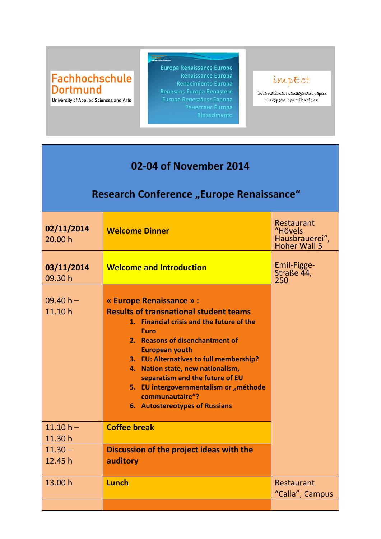## Fachhochschule **Dortmund**

University of Applied Sciences and Arts

**Europa Renaissance Europe** Renaissance Europa Renacimiento Europa

## impEct

international management papers European contributions

## **02-04 of November 2014**

## **Research Conference** "Europe Renaissance"

| 02/11/2014<br>20.00 h  | <b>Welcome Dinner</b>                                                                                                                                                                                                                                                                                                                                                                                                      | Restaurant<br>"Hövels<br>Hausbrauerei",<br><b>Hoher Wall 5</b> |
|------------------------|----------------------------------------------------------------------------------------------------------------------------------------------------------------------------------------------------------------------------------------------------------------------------------------------------------------------------------------------------------------------------------------------------------------------------|----------------------------------------------------------------|
| 03/11/2014<br>09.30h   | <b>Welcome and Introduction</b>                                                                                                                                                                                                                                                                                                                                                                                            | Emil-Figge-<br>Straße 44,<br>250                               |
| $09.40 h -$<br>11.10h  | « Europe Renaissance » :<br><b>Results of transnational student teams</b><br>1. Financial crisis and the future of the<br><b>Euro</b><br>2. Reasons of disenchantment of<br><b>European youth</b><br>3. EU: Alternatives to full membership?<br>4. Nation state, new nationalism,<br>separatism and the future of EU<br>5. EU intergovernmentalism or "méthode<br>communautaire"?<br><b>6. Autostereotypes of Russians</b> |                                                                |
| $11.10 h -$<br>11.30 h | <b>Coffee break</b>                                                                                                                                                                                                                                                                                                                                                                                                        |                                                                |
| $11.30 -$<br>12.45 h   | Discussion of the project ideas with the<br>auditory                                                                                                                                                                                                                                                                                                                                                                       |                                                                |
| 13.00 h                | Lunch                                                                                                                                                                                                                                                                                                                                                                                                                      | Restaurant<br>"Calla", Campus                                  |